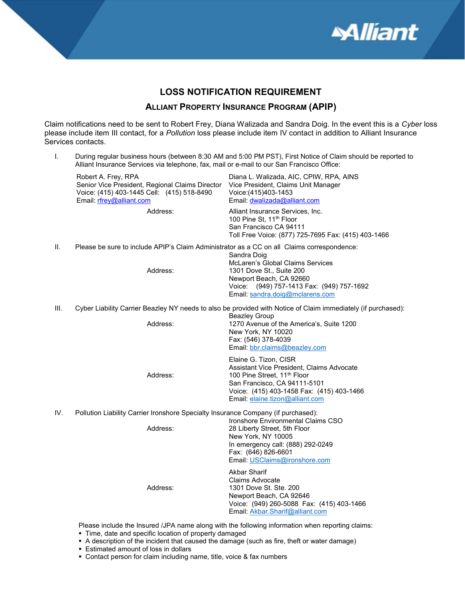

#### LOSS NOTIFICATION REQUIREMENT

#### ALLIANT PROPERTY INSURANCE PROGRAM (APIP)

Claim notifications need to be sent to Robert Frey, Diana Walizada and Sandra Doig. In the event this is a Cyber loss please include item III contact, for a Pollution loss please include item IV contact in addition to Alliant Insurance Services contacts.

| L.   | Alliant Insurance Services via telephone, fax, mail or e-mail to our San Francisco Office:                                                       | During regular business hours (between 8:30 AM and 5:00 PM PST), First Notice of Claim should be reported to                                                                                                                  |  |
|------|--------------------------------------------------------------------------------------------------------------------------------------------------|-------------------------------------------------------------------------------------------------------------------------------------------------------------------------------------------------------------------------------|--|
|      | Robert A. Frey, RPA<br>Senior Vice President, Regional Claims Director<br>Voice: (415) 403-1445 Cell: (415) 518-8490<br>Email: rfrey@alliant.com | Diana L. Walizada, AIC, CPIW, RPA, AINS<br>Vice President, Claims Unit Manager<br>Voice:(415)403-1453<br>Email: dwalizada@alliant.com                                                                                         |  |
|      | Address:                                                                                                                                         | Alliant Insurance Services, Inc.<br>100 Pine St, 11 <sup>th</sup> Floor<br>San Francisco CA 94111<br>Toll Free Voice: (877) 725-7695 Fax: (415) 403-1466                                                                      |  |
| Ш.   | Please be sure to include APIP's Claim Administrator as a CC on all Claims correspondence:<br>Sandra Doig                                        |                                                                                                                                                                                                                               |  |
|      | Address:                                                                                                                                         | McLaren's Global Claims Services<br>1301 Dove St., Suite 200<br>Newport Beach, CA 92660<br>Voice: (949) 757-1413 Fax: (949) 757-1692<br>Email: sandra.doig@mclarens.com                                                       |  |
| III. |                                                                                                                                                  | Cyber Liability Carrier Beazley NY needs to also be provided with Notice of Claim immediately (if purchased):<br><b>Beazley Group</b>                                                                                         |  |
|      | Address:                                                                                                                                         | 1270 Avenue of the America's, Suite 1200<br>New York, NY 10020<br>Fax: (546) 378-4039<br>Email: bbr.claims@beazley.com                                                                                                        |  |
|      | Address:                                                                                                                                         | Elaine G. Tizon, CISR<br>Assistant Vice President, Claims Advocate<br>100 Pine Street, 11 <sup>th</sup> Floor<br>San Francisco, CA 94111-5101<br>Voice: (415) 403-1458 Fax: (415) 403-1466<br>Email: elaine.tizon@alliant.com |  |
| IV.  | Pollution Liability Carrier Ironshore Specialty Insurance Company (if purchased):                                                                |                                                                                                                                                                                                                               |  |
|      | Address:                                                                                                                                         | Ironshore Environmental Claims CSO<br>28 Liberty Street, 5th Floor<br>New York, NY 10005<br>In emergency call: (888) 292-0249<br>Fax: (646) 826-6601<br>Email: USClaims@ironshore.com                                         |  |
|      | Address:                                                                                                                                         | <b>Akbar Sharif</b><br><b>Claims Advocate</b><br>1301 Dove St. Ste. 200<br>Newport Beach, CA 92646<br>Voice: (949) 260-5088 Fax: (415) 403-1466<br>Email: Akbar.Sharif@alliant.com                                            |  |

- A description of the incident that caused the damage (such as fire, theft or water damage)
- Estimated amount of loss in dollars
- Contact person for claim including name, title, voice & fax numbers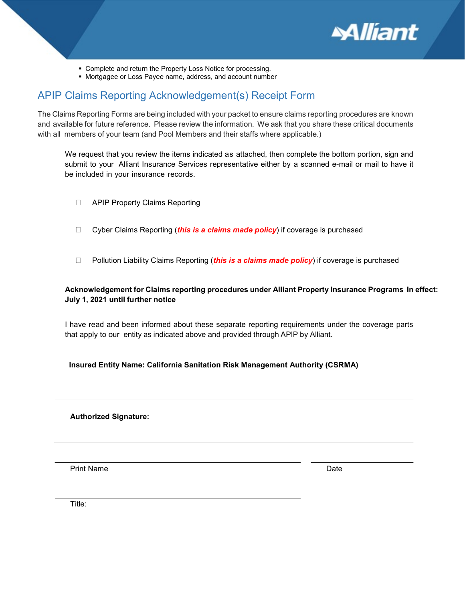

- Complete and return the Property Loss Notice for processing.
- Mortgagee or Loss Payee name, address, and account number

#### APIP Claims Reporting Acknowledgement(s) Receipt Form

The Claims Reporting Forms are being included with your packet to ensure claims reporting procedures are known and available for future reference. Please review the information. We ask that you share these critical documents with all members of your team (and Pool Members and their staffs where applicable.)

We request that you review the items indicated as attached, then complete the bottom portion, sign and submit to your Alliant Insurance Services representative either by a scanned e-mail or mail to have it be included in your insurance records.

- **E** APIP Property Claims Reporting
- $\Box$  Cyber Claims Reporting (this is a claims made policy) if coverage is purchased
- **D** Pollution Liability Claims Reporting (*this is a claims made policy*) if coverage is purchased

#### Acknowledgement for Claims reporting procedures under Alliant Property Insurance Programs In effect: July 1, 2021 until further notice

I have read and been informed about these separate reporting requirements under the coverage parts that apply to our entity as indicated above and provided through APIP by Alliant.

#### Insured Entity Name: California Sanitation Risk Management Authority (CSRMA)

#### Authorized Signature:

Print Name Date Name Date New York 2014

Title: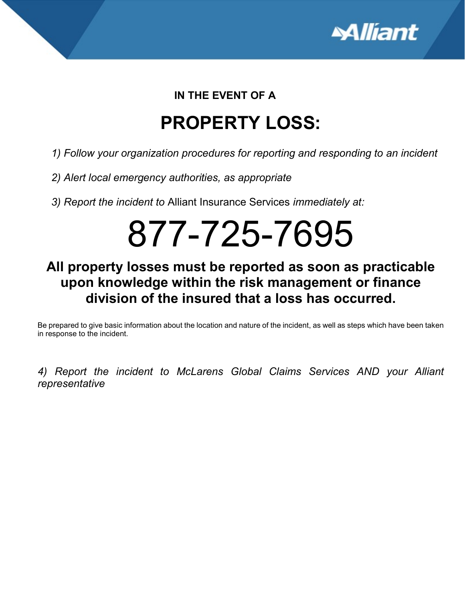

### IN THE EVENT OF A

# PROPERTY LOSS:

- 1) Follow your organization procedures for reporting and responding to an incident
- 2) Alert local emergency authorities, as appropriate
- 3) Report the incident to Alliant Insurance Services immediately at:

# 877-725-7695

# All property losses must be reported as soon as practicable upon knowledge within the risk management or finance division of the insured that a loss has occurred.

Be prepared to give basic information about the location and nature of the incident, as well as steps which have been taken in response to the incident.

4) Report the incident to McLarens Global Claims Services AND your Alliant representative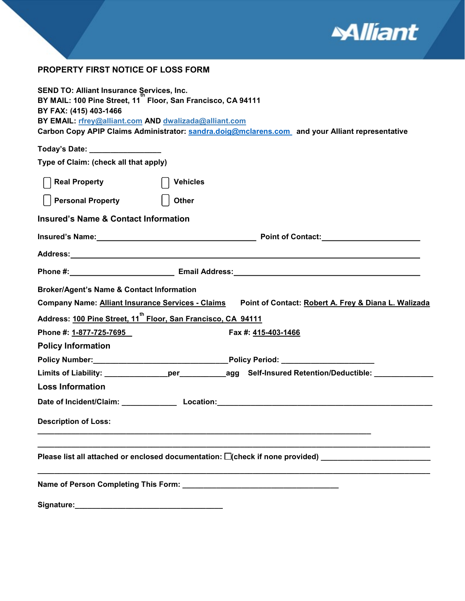

#### PROPERTY FIRST NOTICE OF LOSS FORM

| <b>SEND TO: Alliant Insurance Services, Inc.</b>                                                                 |  |  |  |  |  |  |
|------------------------------------------------------------------------------------------------------------------|--|--|--|--|--|--|
| BY MAIL: 100 Pine Street, 11 Floor, San Francisco, CA 94111<br>BY FAX: (415) 403-1466                            |  |  |  |  |  |  |
| BY EMAIL: rfrey@alliant.com AND dwalizada@alliant.com                                                            |  |  |  |  |  |  |
| Carbon Copy APIP Claims Administrator: sandra.doig@mclarens.com and your Alliant representative                  |  |  |  |  |  |  |
| Today's Date: _________________                                                                                  |  |  |  |  |  |  |
| Type of Claim: (check all that apply)                                                                            |  |  |  |  |  |  |
| <b>Real Property</b><br><b>Vehicles</b>                                                                          |  |  |  |  |  |  |
| <b>Personal Property</b><br><b>Other</b>                                                                         |  |  |  |  |  |  |
| <b>Insured's Name &amp; Contact Information</b>                                                                  |  |  |  |  |  |  |
|                                                                                                                  |  |  |  |  |  |  |
|                                                                                                                  |  |  |  |  |  |  |
|                                                                                                                  |  |  |  |  |  |  |
| <b>Broker/Agent's Name &amp; Contact Information</b>                                                             |  |  |  |  |  |  |
| <b>Company Name: Alliant Insurance Services - Claims</b><br>Point of Contact: Robert A. Frey & Diana L. Walizada |  |  |  |  |  |  |
| Address: 100 Pine Street, 11 <sup>th</sup> Floor, San Francisco, CA 94111                                        |  |  |  |  |  |  |
| Phone #: 1-877-725-7695<br>Fax #: 415-403-1466                                                                   |  |  |  |  |  |  |
| <b>Policy Information</b>                                                                                        |  |  |  |  |  |  |
|                                                                                                                  |  |  |  |  |  |  |
|                                                                                                                  |  |  |  |  |  |  |
| Limits of Liability: _______________per____________agg Self-Insured Retention/Deductible: _______________        |  |  |  |  |  |  |
| <b>Loss Information</b>                                                                                          |  |  |  |  |  |  |
|                                                                                                                  |  |  |  |  |  |  |
| <b>Description of Loss:</b>                                                                                      |  |  |  |  |  |  |
| Please list all attached or enclosed documentation: $\square$ (check if none provided)                           |  |  |  |  |  |  |
|                                                                                                                  |  |  |  |  |  |  |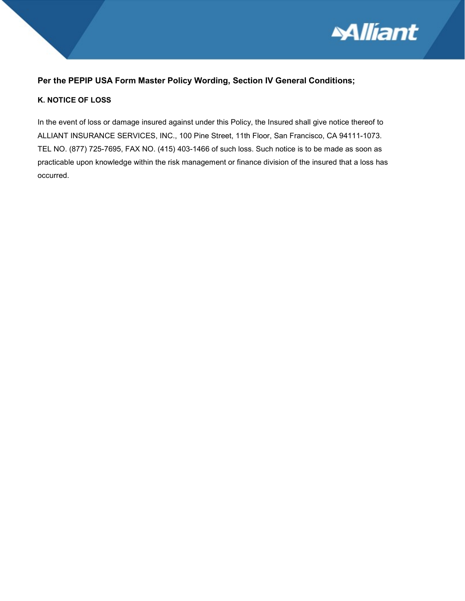

#### Per the PEPIP USA Form Master Policy Wording, Section IV General Conditions;

#### K. NOTICE OF LOSS

In the event of loss or damage insured against under this Policy, the Insured shall give notice thereof to ALLIANT INSURANCE SERVICES, INC., 100 Pine Street, 11th Floor, San Francisco, CA 94111-1073. TEL NO. (877) 725-7695, FAX NO. (415) 403-1466 of such loss. Such notice is to be made as soon as practicable upon knowledge within the risk management or finance division of the insured that a loss has occurred.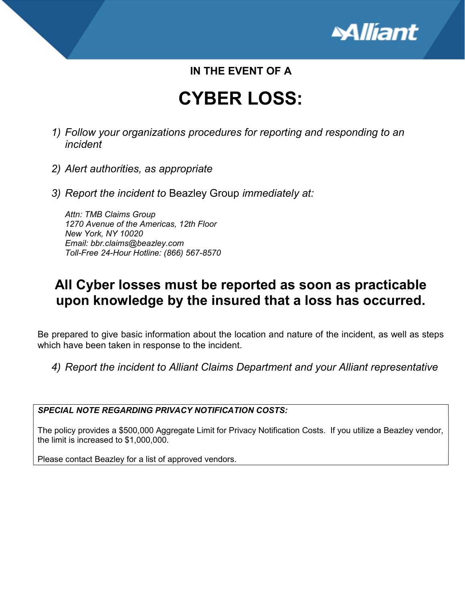

### IN THE EVENT OF A

# CYBER LOSS:

- 1) Follow your organizations procedures for reporting and responding to an incident
- 2) Alert authorities, as appropriate
- 3) Report the incident to Beazley Group immediately at:

Attn: TMB Claims Group 1270 Avenue of the Americas, 12th Floor New York, NY 10020 Email: bbr.claims@beazley.com Toll-Free 24-Hour Hotline: (866) 567-8570

### All Cyber losses must be reported as soon as practicable upon knowledge by the insured that a loss has occurred.

Be prepared to give basic information about the location and nature of the incident, as well as steps which have been taken in response to the incident.

4) Report the incident to Alliant Claims Department and your Alliant representative

SPECIAL NOTE REGARDING PRIVACY NOTIFICATION COSTS:

The policy provides a \$500,000 Aggregate Limit for Privacy Notification Costs. If you utilize a Beazley vendor, the limit is increased to \$1,000,000.

Please contact Beazley for a list of approved vendors.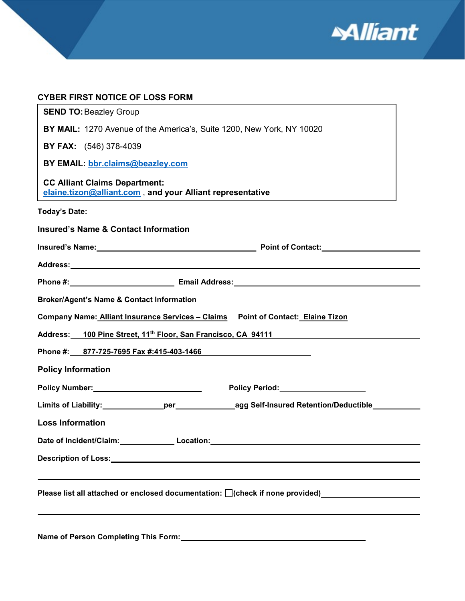

| <b>CYBER FIRST NOTICE OF LOSS FORM</b>                                                                                                                                                                                                    |  |
|-------------------------------------------------------------------------------------------------------------------------------------------------------------------------------------------------------------------------------------------|--|
| <b>SEND TO: Beazley Group</b>                                                                                                                                                                                                             |  |
| <b>BY MAIL:</b> 1270 Avenue of the America's, Suite 1200, New York, NY 10020                                                                                                                                                              |  |
| <b>BY FAX:</b> (546) 378-4039                                                                                                                                                                                                             |  |
| BY EMAIL: bbr.claims@beazley.com                                                                                                                                                                                                          |  |
| <b>CC Alliant Claims Department:</b><br>elaine.tizon@alliant.com, and your Alliant representative                                                                                                                                         |  |
| Today's Date: ______________                                                                                                                                                                                                              |  |
| <b>Insured's Name &amp; Contact Information</b>                                                                                                                                                                                           |  |
| <b>Insured's Name:</b> The Contract of Contact: <b>Contract of Contract of Contract of Contract of Contract of Contract of Contract of Contract of Contract of Contract of Contract of Contract of Contract of Contract of Contract o</b> |  |
|                                                                                                                                                                                                                                           |  |
|                                                                                                                                                                                                                                           |  |
| <b>Broker/Agent's Name &amp; Contact Information</b>                                                                                                                                                                                      |  |
| Company Name: Alliant Insurance Services - Claims Point of Contact: Elaine Tizon                                                                                                                                                          |  |
| Address: 100 Pine Street, 11 <sup>th</sup> Floor, San Francisco, CA 94111                                                                                                                                                                 |  |
| Phone #: 877-725-7695 Fax #:415-403-1466                                                                                                                                                                                                  |  |
| <b>Policy Information</b>                                                                                                                                                                                                                 |  |
| Policy Period: Network and Contact Contact Contact Contact Contact Contact Contact Contact Contact Contact Contact Contact Contact Contact Contact Contact Contact Contact Contact Contact Contact Contact Contact Contact Con            |  |
| Limits of Liability:________________per___________________agg Self-Insured Retention/Deductible___________                                                                                                                                |  |
| <b>Loss Information</b>                                                                                                                                                                                                                   |  |
|                                                                                                                                                                                                                                           |  |
|                                                                                                                                                                                                                                           |  |
|                                                                                                                                                                                                                                           |  |
| Please list all attached or enclosed documentation: [ ](check if none provided) ____________________                                                                                                                                      |  |
|                                                                                                                                                                                                                                           |  |
|                                                                                                                                                                                                                                           |  |

Name of Person Completing This Form:<br>
Mame of Person Completing This Form: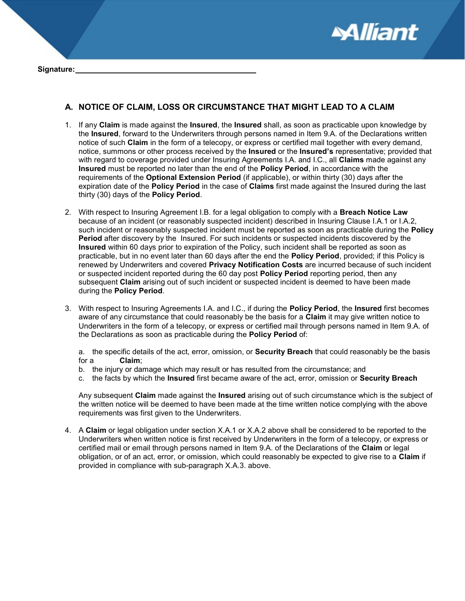

#### A. NOTICE OF CLAIM, LOSS OR CIRCUMSTANCE THAT MIGHT LEAD TO A CLAIM

- 1. If any Claim is made against the Insured, the Insured shall, as soon as practicable upon knowledge by the Insured, forward to the Underwriters through persons named in Item 9.A. of the Declarations written notice of such Claim in the form of a telecopy, or express or certified mail together with every demand, notice, summons or other process received by the **Insured** or the **Insured's** representative; provided that with regard to coverage provided under Insuring Agreements I.A. and I.C., all Claims made against any Insured must be reported no later than the end of the Policy Period, in accordance with the requirements of the Optional Extension Period (if applicable), or within thirty (30) days after the expiration date of the **Policy Period** in the case of Claims first made against the Insured during the last thirty (30) days of the Policy Period.
- 2. With respect to Insuring Agreement I.B. for a legal obligation to comply with a Breach Notice Law because of an incident (or reasonably suspected incident) described in Insuring Clause I.A.1 or I.A.2, such incident or reasonably suspected incident must be reported as soon as practicable during the Policy Period after discovery by the Insured. For such incidents or suspected incidents discovered by the Insured within 60 days prior to expiration of the Policy, such incident shall be reported as soon as practicable, but in no event later than 60 days after the end the **Policy Period**, provided; if this Policy is renewed by Underwriters and covered Privacy Notification Costs are incurred because of such incident or suspected incident reported during the 60 day post **Policy Period** reporting period, then any subsequent Claim arising out of such incident or suspected incident is deemed to have been made during the Policy Period.
- 3. With respect to Insuring Agreements I.A. and I.C., if during the Policy Period, the Insured first becomes aware of any circumstance that could reasonably be the basis for a Claim it may give written notice to Underwriters in the form of a telecopy, or express or certified mail through persons named in Item 9.A. of the Declarations as soon as practicable during the Policy Period of:

a. the specific details of the act, error, omission, or **Security Breach** that could reasonably be the basis for a Claim;

- b. the injury or damage which may result or has resulted from the circumstance; and
- c. the facts by which the Insured first became aware of the act, error, omission or Security Breach

Any subsequent Claim made against the Insured arising out of such circumstance which is the subject of the written notice will be deemed to have been made at the time written notice complying with the above requirements was first given to the Underwriters.

4. A Claim or legal obligation under section X.A.1 or X.A.2 above shall be considered to be reported to the Underwriters when written notice is first received by Underwriters in the form of a telecopy, or express or certified mail or email through persons named in Item 9.A. of the Declarations of the Claim or legal obligation, or of an act, error, or omission, which could reasonably be expected to give rise to a Claim if provided in compliance with sub-paragraph X.A.3. above.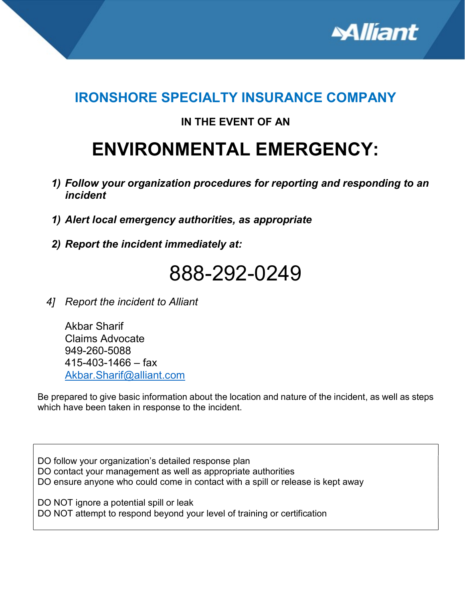

# IRONSHORE SPECIALTY INSURANCE COMPANY

### IN THE EVENT OF AN

# ENVIRONMENTAL EMERGENCY:

- 1) Follow your organization procedures for reporting and responding to an incident
- 1) Alert local emergency authorities, as appropriate
- 2) Report the incident immediately at:

# 888-292-0249

4] Report the incident to Alliant

Akbar Sharif Claims Advocate 949-260-5088  $415 - 403 - 1466 - f$ ax Akbar.Sharif@alliant.com

Be prepared to give basic information about the location and nature of the incident, as well as steps which have been taken in response to the incident.

DO follow your organization's detailed response plan DO contact your management as well as appropriate authorities DO ensure anyone who could come in contact with a spill or release is kept away

DO NOT ignore a potential spill or leak DO NOT attempt to respond beyond your level of training or certification